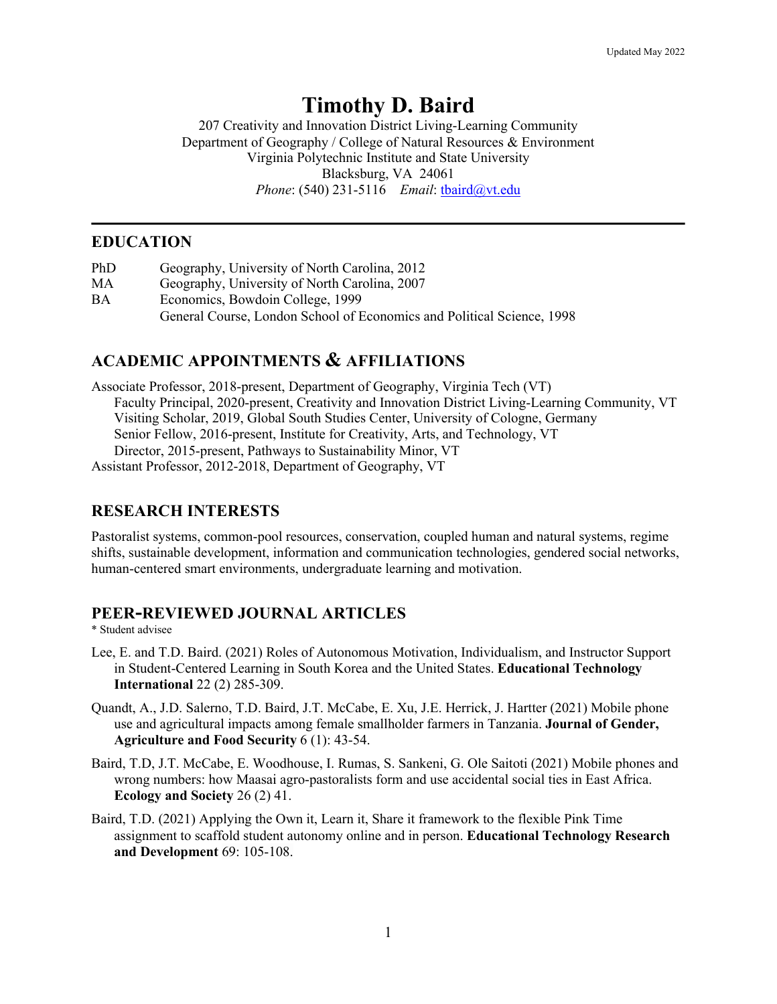# **Timothy D. Baird**

207 Creativity and Innovation District Living-Learning Community Department of Geography / College of Natural Resources & Environment Virginia Polytechnic Institute and State University Blacksburg, VA 24061 *Phone*: (540) 231-5116 *Email*: tbaird@vt.edu

# **EDUCATION**

PhD Geography, University of North Carolina, 2012 MA Geography, University of North Carolina, 2007 BA Economics, Bowdoin College, 1999 General Course, London School of Economics and Political Science, 1998

# **ACADEMIC APPOINTMENTS & AFFILIATIONS**

Associate Professor, 2018-present, Department of Geography, Virginia Tech (VT) Faculty Principal, 2020-present, Creativity and Innovation District Living-Learning Community, VT Visiting Scholar, 2019, Global South Studies Center, University of Cologne, Germany Senior Fellow, 2016-present, Institute for Creativity, Arts, and Technology, VT Director, 2015-present, Pathways to Sustainability Minor, VT Assistant Professor, 2012-2018, Department of Geography, VT

# **RESEARCH INTERESTS**

Pastoralist systems, common-pool resources, conservation, coupled human and natural systems, regime shifts, sustainable development, information and communication technologies, gendered social networks, human-centered smart environments, undergraduate learning and motivation.

# **PEER-REVIEWED JOURNAL ARTICLES**

\* Student advisee

- Lee, E. and T.D. Baird. (2021) Roles of Autonomous Motivation, Individualism, and Instructor Support in Student-Centered Learning in South Korea and the United States. **Educational Technology International** 22 (2) 285-309.
- Quandt, A., J.D. Salerno, T.D. Baird, J.T. McCabe, E. Xu, J.E. Herrick, J. Hartter (2021) Mobile phone use and agricultural impacts among female smallholder farmers in Tanzania. **Journal of Gender, Agriculture and Food Security** 6 (1): 43-54.
- Baird, T.D, J.T. McCabe, E. Woodhouse, I. Rumas, S. Sankeni, G. Ole Saitoti (2021) Mobile phones and wrong numbers: how Maasai agro-pastoralists form and use accidental social ties in East Africa. **Ecology and Society** 26 (2) 41.
- Baird, T.D. (2021) Applying the Own it, Learn it, Share it framework to the flexible Pink Time assignment to scaffold student autonomy online and in person. **Educational Technology Research and Development** 69: 105-108.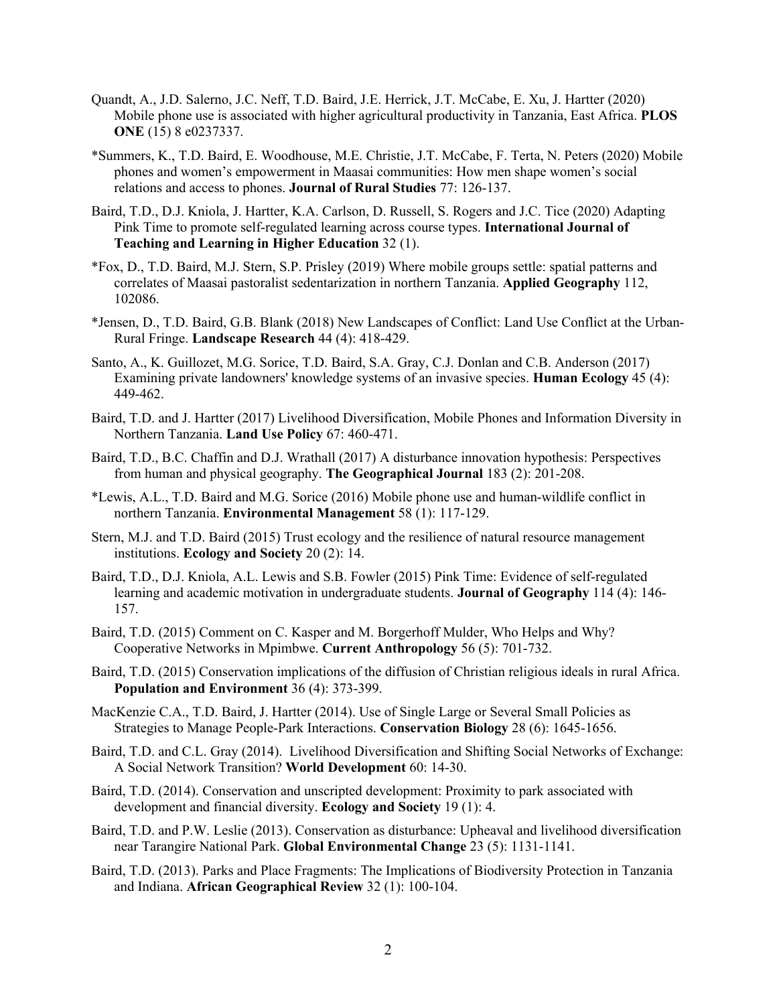- Quandt, A., J.D. Salerno, J.C. Neff, T.D. Baird, J.E. Herrick, J.T. McCabe, E. Xu, J. Hartter (2020) Mobile phone use is associated with higher agricultural productivity in Tanzania, East Africa. **PLOS ONE** (15) 8 e0237337.
- \*Summers, K., T.D. Baird, E. Woodhouse, M.E. Christie, J.T. McCabe, F. Terta, N. Peters (2020) Mobile phones and women's empowerment in Maasai communities: How men shape women's social relations and access to phones. **Journal of Rural Studies** 77: 126-137.
- Baird, T.D., D.J. Kniola, J. Hartter, K.A. Carlson, D. Russell, S. Rogers and J.C. Tice (2020) Adapting Pink Time to promote self-regulated learning across course types. **International Journal of Teaching and Learning in Higher Education** 32 (1).
- \*Fox, D., T.D. Baird, M.J. Stern, S.P. Prisley (2019) Where mobile groups settle: spatial patterns and correlates of Maasai pastoralist sedentarization in northern Tanzania. **Applied Geography** 112, 102086.
- \*Jensen, D., T.D. Baird, G.B. Blank (2018) New Landscapes of Conflict: Land Use Conflict at the Urban-Rural Fringe. **Landscape Research** 44 (4): 418-429.
- Santo, A., K. Guillozet, M.G. Sorice, T.D. Baird, S.A. Gray, C.J. Donlan and C.B. Anderson (2017) Examining private landowners' knowledge systems of an invasive species. **Human Ecology** 45 (4): 449-462.
- Baird, T.D. and J. Hartter (2017) Livelihood Diversification, Mobile Phones and Information Diversity in Northern Tanzania. **Land Use Policy** 67: 460-471.
- Baird, T.D., B.C. Chaffin and D.J. Wrathall (2017) A disturbance innovation hypothesis: Perspectives from human and physical geography. **The Geographical Journal** 183 (2): 201-208.
- \*Lewis, A.L., T.D. Baird and M.G. Sorice (2016) Mobile phone use and human-wildlife conflict in northern Tanzania. **Environmental Management** 58 (1): 117-129.
- Stern, M.J. and T.D. Baird (2015) Trust ecology and the resilience of natural resource management institutions. **Ecology and Society** 20 (2): 14.
- Baird, T.D., D.J. Kniola, A.L. Lewis and S.B. Fowler (2015) Pink Time: Evidence of self-regulated learning and academic motivation in undergraduate students. **Journal of Geography** 114 (4): 146- 157.
- Baird, T.D. (2015) Comment on C. Kasper and M. Borgerhoff Mulder, Who Helps and Why? Cooperative Networks in Mpimbwe. **Current Anthropology** 56 (5): 701-732.
- Baird, T.D. (2015) Conservation implications of the diffusion of Christian religious ideals in rural Africa. **Population and Environment** 36 (4): 373-399.
- MacKenzie C.A., T.D. Baird, J. Hartter (2014). Use of Single Large or Several Small Policies as Strategies to Manage People-Park Interactions. **Conservation Biology** 28 (6): 1645-1656.
- Baird, T.D. and C.L. Gray (2014). Livelihood Diversification and Shifting Social Networks of Exchange: A Social Network Transition? **World Development** 60: 14-30.
- Baird, T.D. (2014). Conservation and unscripted development: Proximity to park associated with development and financial diversity. **Ecology and Society** 19 (1): 4.
- Baird, T.D. and P.W. Leslie (2013). Conservation as disturbance: Upheaval and livelihood diversification near Tarangire National Park. **Global Environmental Change** 23 (5): 1131-1141.
- Baird, T.D. (2013). Parks and Place Fragments: The Implications of Biodiversity Protection in Tanzania and Indiana. **African Geographical Review** 32 (1): 100-104.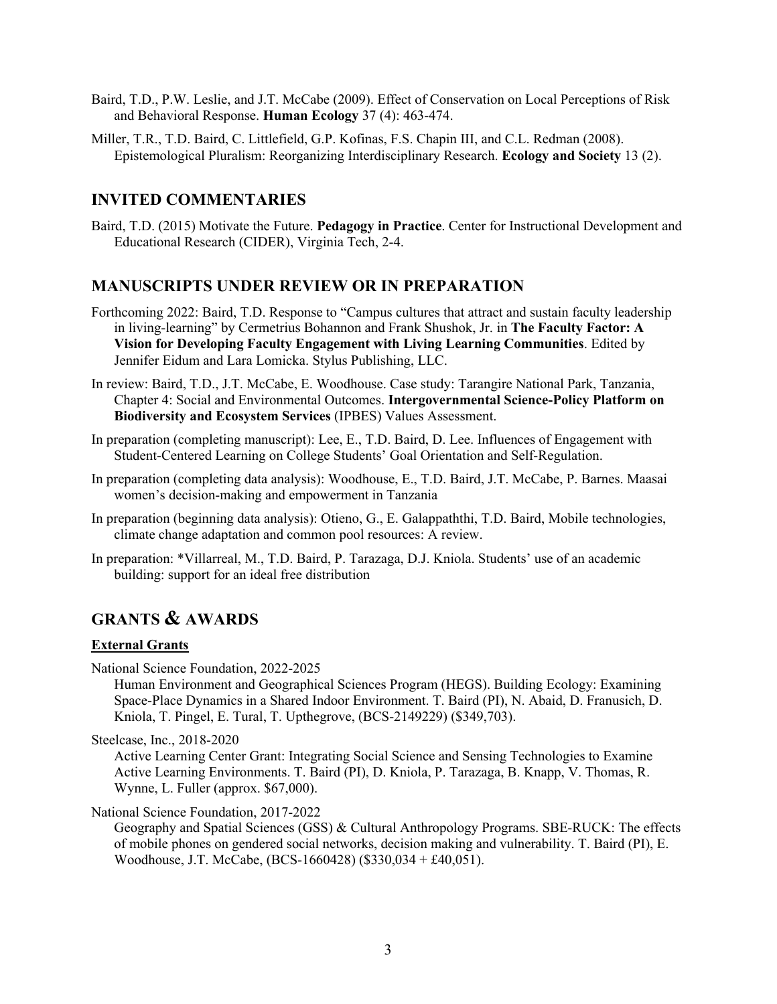- Baird, T.D., P.W. Leslie, and J.T. McCabe (2009). Effect of Conservation on Local Perceptions of Risk and Behavioral Response. **Human Ecology** 37 (4): 463-474.
- Miller, T.R., T.D. Baird, C. Littlefield, G.P. Kofinas, F.S. Chapin III, and C.L. Redman (2008). Epistemological Pluralism: Reorganizing Interdisciplinary Research. **Ecology and Society** 13 (2).

# **INVITED COMMENTARIES**

Baird, T.D. (2015) Motivate the Future. **Pedagogy in Practice**. Center for Instructional Development and Educational Research (CIDER), Virginia Tech, 2-4.

# **MANUSCRIPTS UNDER REVIEW OR IN PREPARATION**

- Forthcoming 2022: Baird, T.D. Response to "Campus cultures that attract and sustain faculty leadership in living-learning" by Cermetrius Bohannon and Frank Shushok, Jr. in **The Faculty Factor: A Vision for Developing Faculty Engagement with Living Learning Communities**. Edited by Jennifer Eidum and Lara Lomicka. Stylus Publishing, LLC.
- In review: Baird, T.D., J.T. McCabe, E. Woodhouse. Case study: Tarangire National Park, Tanzania, Chapter 4: Social and Environmental Outcomes. **Intergovernmental Science-Policy Platform on Biodiversity and Ecosystem Services** (IPBES) Values Assessment.
- In preparation (completing manuscript): Lee, E., T.D. Baird, D. Lee. Influences of Engagement with Student-Centered Learning on College Students' Goal Orientation and Self-Regulation.
- In preparation (completing data analysis): Woodhouse, E., T.D. Baird, J.T. McCabe, P. Barnes. Maasai women's decision-making and empowerment in Tanzania
- In preparation (beginning data analysis): Otieno, G., E. Galappaththi, T.D. Baird, Mobile technologies, climate change adaptation and common pool resources: A review.
- In preparation: \*Villarreal, M., T.D. Baird, P. Tarazaga, D.J. Kniola. Students' use of an academic building: support for an ideal free distribution

# **GRANTS & AWARDS**

#### **External Grants**

National Science Foundation, 2022-2025

Human Environment and Geographical Sciences Program (HEGS). Building Ecology: Examining Space-Place Dynamics in a Shared Indoor Environment. T. Baird (PI), N. Abaid, D. Franusich, D. Kniola, T. Pingel, E. Tural, T. Upthegrove, (BCS-2149229) (\$349,703).

Steelcase, Inc., 2018-2020

Active Learning Center Grant: Integrating Social Science and Sensing Technologies to Examine Active Learning Environments. T. Baird (PI), D. Kniola, P. Tarazaga, B. Knapp, V. Thomas, R. Wynne, L. Fuller (approx. \$67,000).

#### National Science Foundation, 2017-2022

Geography and Spatial Sciences (GSS) & Cultural Anthropology Programs. SBE-RUCK: The effects of mobile phones on gendered social networks, decision making and vulnerability. T. Baird (PI), E. Woodhouse, J.T. McCabe, (BCS-1660428) (\$330,034 + £40,051).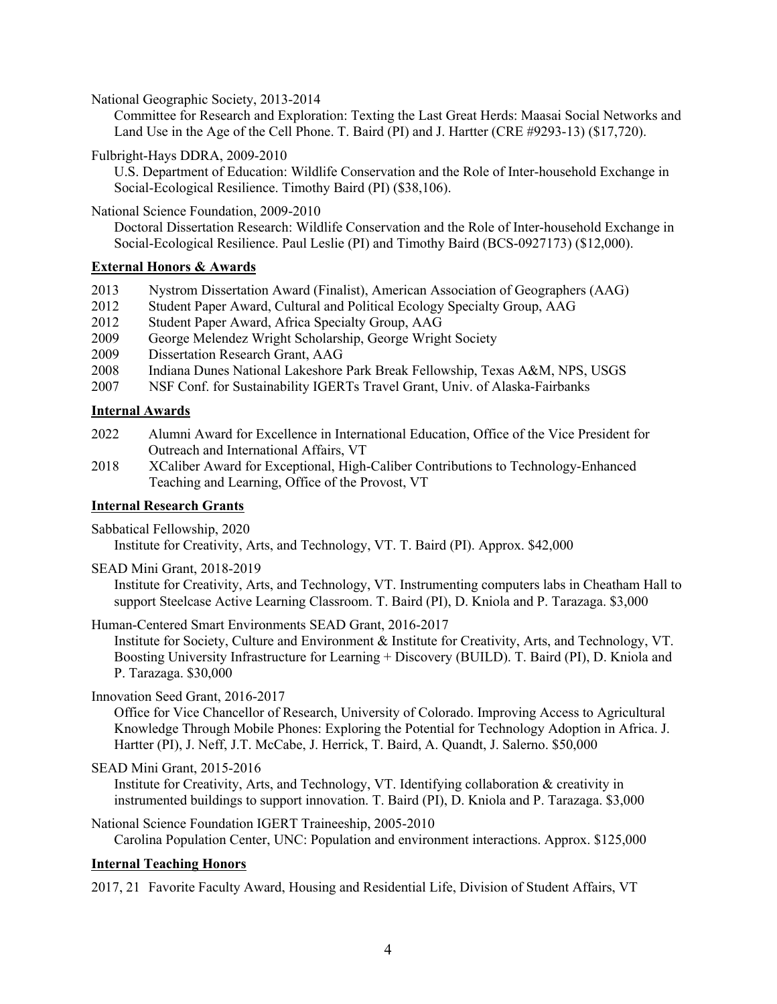National Geographic Society, 2013-2014

Committee for Research and Exploration: Texting the Last Great Herds: Maasai Social Networks and Land Use in the Age of the Cell Phone. T. Baird (PI) and J. Hartter (CRE #9293-13) (\$17,720).

Fulbright-Hays DDRA, 2009-2010

U.S. Department of Education: Wildlife Conservation and the Role of Inter-household Exchange in Social-Ecological Resilience. Timothy Baird (PI) (\$38,106).

#### National Science Foundation, 2009-2010

Doctoral Dissertation Research: Wildlife Conservation and the Role of Inter-household Exchange in Social-Ecological Resilience. Paul Leslie (PI) and Timothy Baird (BCS-0927173) (\$12,000).

# **External Honors & Awards**

- 2013 Nystrom Dissertation Award (Finalist), American Association of Geographers (AAG)
- 2012 Student Paper Award, Cultural and Political Ecology Specialty Group, AAG
- 2012 Student Paper Award, Africa Specialty Group, AAG
- 2009 George Melendez Wright Scholarship, George Wright Society
- 2009 Dissertation Research Grant, AAG
- 2008 Indiana Dunes National Lakeshore Park Break Fellowship, Texas A&M, NPS, USGS
- 2007 NSF Conf. for Sustainability IGERTs Travel Grant, Univ. of Alaska-Fairbanks

#### **Internal Awards**

- 2022 Alumni Award for Excellence in International Education, Office of the Vice President for Outreach and International Affairs, VT
- 2018 XCaliber Award for Exceptional, High-Caliber Contributions to Technology-Enhanced Teaching and Learning, Office of the Provost, VT

#### **Internal Research Grants**

Sabbatical Fellowship, 2020

Institute for Creativity, Arts, and Technology, VT. T. Baird (PI). Approx. \$42,000

SEAD Mini Grant, 2018-2019

Institute for Creativity, Arts, and Technology, VT. Instrumenting computers labs in Cheatham Hall to support Steelcase Active Learning Classroom. T. Baird (PI), D. Kniola and P. Tarazaga. \$3,000

Human-Centered Smart Environments SEAD Grant, 2016-2017

Institute for Society, Culture and Environment & Institute for Creativity, Arts, and Technology, VT. Boosting University Infrastructure for Learning + Discovery (BUILD). T. Baird (PI), D. Kniola and P. Tarazaga. \$30,000

# Innovation Seed Grant, 2016-2017

Office for Vice Chancellor of Research, University of Colorado. Improving Access to Agricultural Knowledge Through Mobile Phones: Exploring the Potential for Technology Adoption in Africa. J. Hartter (PI), J. Neff, J.T. McCabe, J. Herrick, T. Baird, A. Quandt, J. Salerno. \$50,000

```
SEAD Mini Grant, 2015-2016
```
Institute for Creativity, Arts, and Technology, VT. Identifying collaboration & creativity in instrumented buildings to support innovation. T. Baird (PI), D. Kniola and P. Tarazaga. \$3,000

National Science Foundation IGERT Traineeship, 2005-2010 Carolina Population Center, UNC: Population and environment interactions. Approx. \$125,000

# **Internal Teaching Honors**

2017, 21 Favorite Faculty Award, Housing and Residential Life, Division of Student Affairs, VT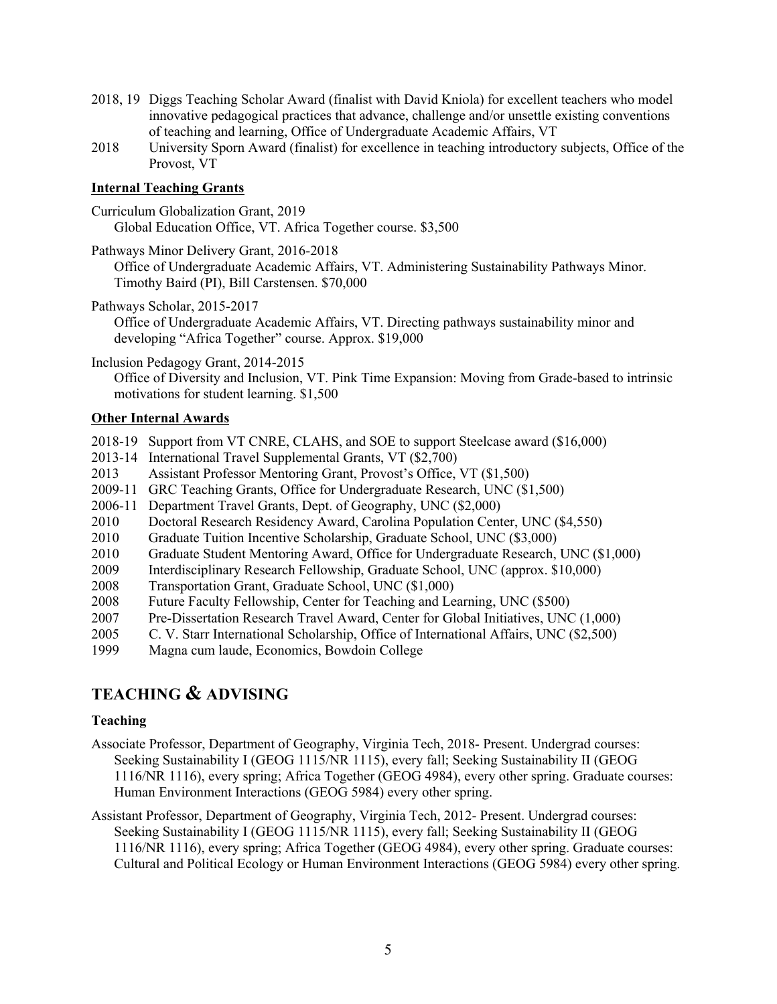- 2018, 19 Diggs Teaching Scholar Award (finalist with David Kniola) for excellent teachers who model innovative pedagogical practices that advance, challenge and/or unsettle existing conventions of teaching and learning, Office of Undergraduate Academic Affairs, VT
- 2018 University Sporn Award (finalist) for excellence in teaching introductory subjects, Office of the Provost, VT

# **Internal Teaching Grants**

- Curriculum Globalization Grant, 2019 Global Education Office, VT. Africa Together course. \$3,500
- Pathways Minor Delivery Grant, 2016-2018
	- Office of Undergraduate Academic Affairs, VT. Administering Sustainability Pathways Minor. Timothy Baird (PI), Bill Carstensen. \$70,000
- Pathways Scholar, 2015-2017
	- Office of Undergraduate Academic Affairs, VT. Directing pathways sustainability minor and developing "Africa Together" course. Approx. \$19,000
- Inclusion Pedagogy Grant, 2014-2015

Office of Diversity and Inclusion, VT. Pink Time Expansion: Moving from Grade-based to intrinsic motivations for student learning. \$1,500

# **Other Internal Awards**

- 2018-19 Support from VT CNRE, CLAHS, and SOE to support Steelcase award (\$16,000)
- 2013-14 International Travel Supplemental Grants, VT (\$2,700)
- 2013 Assistant Professor Mentoring Grant, Provost's Office, VT (\$1,500)
- 2009-11 GRC Teaching Grants, Office for Undergraduate Research, UNC (\$1,500)
- 2006-11 Department Travel Grants, Dept. of Geography, UNC (\$2,000)
- 2010 Doctoral Research Residency Award, Carolina Population Center, UNC (\$4,550)
- 2010 Graduate Tuition Incentive Scholarship, Graduate School, UNC (\$3,000)
- 2010 Graduate Student Mentoring Award, Office for Undergraduate Research, UNC (\$1,000)
- 2009 Interdisciplinary Research Fellowship, Graduate School, UNC (approx. \$10,000)
- 2008 Transportation Grant, Graduate School, UNC (\$1,000)
- 2008 Future Faculty Fellowship, Center for Teaching and Learning, UNC (\$500)
- 2007 Pre-Dissertation Research Travel Award, Center for Global Initiatives, UNC (1,000)
- 2005 C. V. Starr International Scholarship, Office of International Affairs, UNC (\$2,500)
- 1999 Magna cum laude, Economics, Bowdoin College

# **TEACHING & ADVISING**

#### **Teaching**

- Associate Professor, Department of Geography, Virginia Tech, 2018- Present. Undergrad courses: Seeking Sustainability I (GEOG 1115/NR 1115), every fall; Seeking Sustainability II (GEOG 1116/NR 1116), every spring; Africa Together (GEOG 4984), every other spring. Graduate courses: Human Environment Interactions (GEOG 5984) every other spring.
- Assistant Professor, Department of Geography, Virginia Tech, 2012- Present. Undergrad courses: Seeking Sustainability I (GEOG 1115/NR 1115), every fall; Seeking Sustainability II (GEOG 1116/NR 1116), every spring; Africa Together (GEOG 4984), every other spring. Graduate courses: Cultural and Political Ecology or Human Environment Interactions (GEOG 5984) every other spring.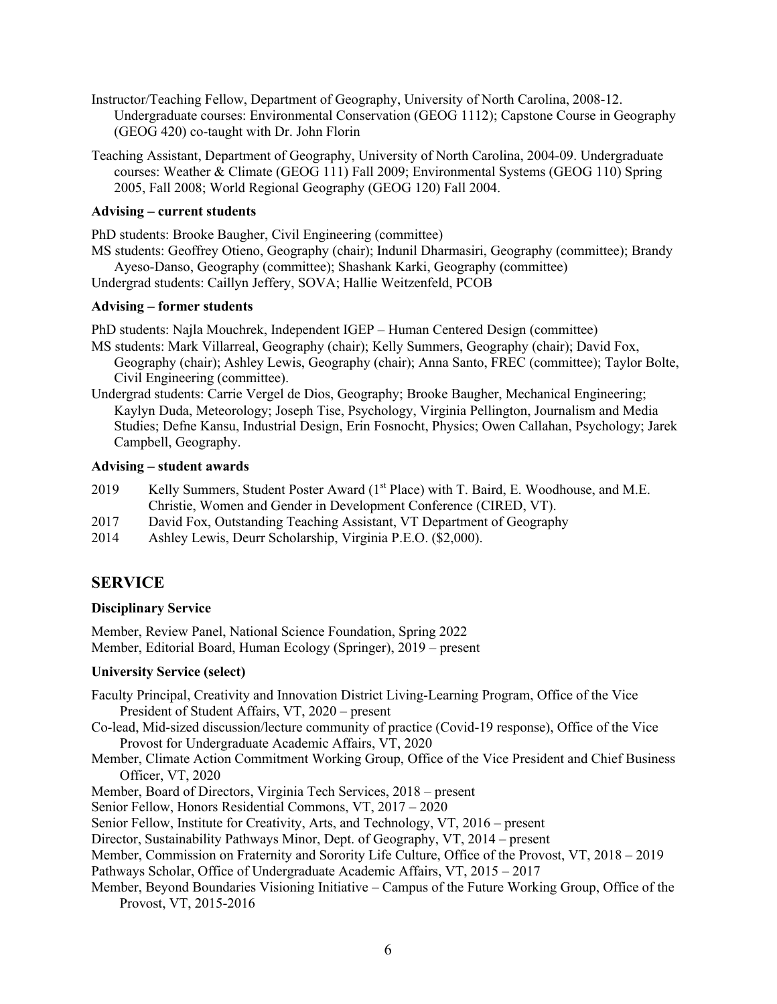- Instructor/Teaching Fellow, Department of Geography, University of North Carolina, 2008-12. Undergraduate courses: Environmental Conservation (GEOG 1112); Capstone Course in Geography (GEOG 420) co-taught with Dr. John Florin
- Teaching Assistant, Department of Geography, University of North Carolina, 2004-09. Undergraduate courses: Weather & Climate (GEOG 111) Fall 2009; Environmental Systems (GEOG 110) Spring 2005, Fall 2008; World Regional Geography (GEOG 120) Fall 2004.

#### **Advising – current students**

PhD students: Brooke Baugher, Civil Engineering (committee)

MS students: Geoffrey Otieno, Geography (chair); Indunil Dharmasiri, Geography (committee); Brandy Ayeso-Danso, Geography (committee); Shashank Karki, Geography (committee)

Undergrad students: Caillyn Jeffery, SOVA; Hallie Weitzenfeld, PCOB

#### **Advising – former students**

PhD students: Najla Mouchrek, Independent IGEP – Human Centered Design (committee)

- MS students: Mark Villarreal, Geography (chair); Kelly Summers, Geography (chair); David Fox, Geography (chair); Ashley Lewis, Geography (chair); Anna Santo, FREC (committee); Taylor Bolte, Civil Engineering (committee).
- Undergrad students: Carrie Vergel de Dios, Geography; Brooke Baugher, Mechanical Engineering; Kaylyn Duda, Meteorology; Joseph Tise, Psychology, Virginia Pellington, Journalism and Media Studies; Defne Kansu, Industrial Design, Erin Fosnocht, Physics; Owen Callahan, Psychology; Jarek Campbell, Geography.

# **Advising – student awards**

- 2019 Kelly Summers, Student Poster Award (1<sup>st</sup> Place) with T. Baird, E. Woodhouse, and M.E. Christie, Women and Gender in Development Conference (CIRED, VT).
- 2017 David Fox, Outstanding Teaching Assistant, VT Department of Geography
- 2014 Ashley Lewis, Deurr Scholarship, Virginia P.E.O. (\$2,000).

# **SERVICE**

# **Disciplinary Service**

Member, Review Panel, National Science Foundation, Spring 2022 Member, Editorial Board, Human Ecology (Springer), 2019 – present

# **University Service (select)**

- Faculty Principal, Creativity and Innovation District Living-Learning Program, Office of the Vice President of Student Affairs, VT, 2020 – present
- Co-lead, Mid-sized discussion/lecture community of practice (Covid-19 response), Office of the Vice Provost for Undergraduate Academic Affairs, VT, 2020
- Member, Climate Action Commitment Working Group, Office of the Vice President and Chief Business Officer, VT, 2020
- Member, Board of Directors, Virginia Tech Services, 2018 present
- Senior Fellow, Honors Residential Commons, VT, 2017 2020
- Senior Fellow, Institute for Creativity, Arts, and Technology, VT, 2016 present

Director, Sustainability Pathways Minor, Dept. of Geography, VT, 2014 – present

Member, Commission on Fraternity and Sorority Life Culture, Office of the Provost, VT, 2018 – 2019

Pathways Scholar, Office of Undergraduate Academic Affairs, VT, 2015 – 2017

Member, Beyond Boundaries Visioning Initiative – Campus of the Future Working Group, Office of the Provost, VT, 2015-2016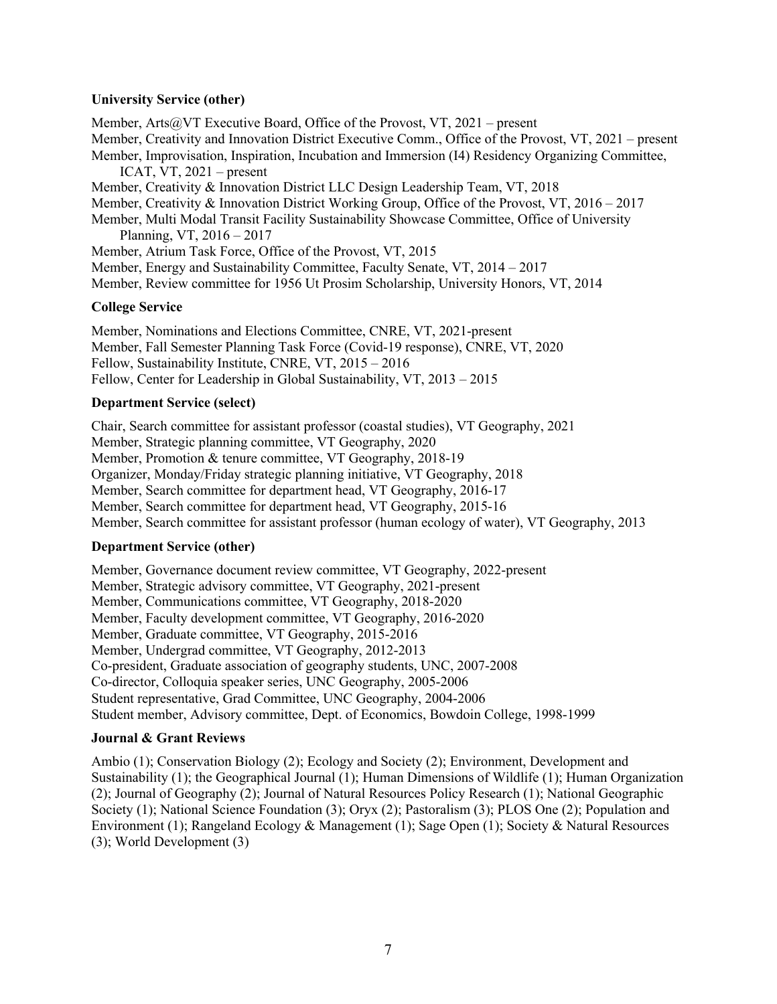#### **University Service (other)**

Member, Arts@VT Executive Board, Office of the Provost, VT,  $2021$  – present Member, Creativity and Innovation District Executive Comm., Office of the Provost, VT, 2021 – present Member, Improvisation, Inspiration, Incubation and Immersion (I4) Residency Organizing Committee, ICAT,  $VT$ , 2021 – present Member, Creativity & Innovation District LLC Design Leadership Team, VT, 2018 Member, Creativity & Innovation District Working Group, Office of the Provost, VT, 2016 – 2017 Member, Multi Modal Transit Facility Sustainability Showcase Committee, Office of University Planning, VT, 2016 – 2017 Member, Atrium Task Force, Office of the Provost, VT, 2015 Member, Energy and Sustainability Committee, Faculty Senate, VT, 2014 – 2017 Member, Review committee for 1956 Ut Prosim Scholarship, University Honors, VT, 2014

# **College Service**

Member, Nominations and Elections Committee, CNRE, VT, 2021-present Member, Fall Semester Planning Task Force (Covid-19 response), CNRE, VT, 2020 Fellow, Sustainability Institute, CNRE, VT, 2015 – 2016 Fellow, Center for Leadership in Global Sustainability, VT, 2013 – 2015

#### **Department Service (select)**

Chair, Search committee for assistant professor (coastal studies), VT Geography, 2021 Member, Strategic planning committee, VT Geography, 2020 Member, Promotion & tenure committee, VT Geography, 2018-19 Organizer, Monday/Friday strategic planning initiative, VT Geography, 2018 Member, Search committee for department head, VT Geography, 2016-17 Member, Search committee for department head, VT Geography, 2015-16 Member, Search committee for assistant professor (human ecology of water), VT Geography, 2013

#### **Department Service (other)**

Member, Governance document review committee, VT Geography, 2022-present Member, Strategic advisory committee, VT Geography, 2021-present Member, Communications committee, VT Geography, 2018-2020 Member, Faculty development committee, VT Geography, 2016-2020 Member, Graduate committee, VT Geography, 2015-2016 Member, Undergrad committee, VT Geography, 2012-2013 Co-president, Graduate association of geography students, UNC, 2007-2008 Co-director, Colloquia speaker series, UNC Geography, 2005-2006 Student representative, Grad Committee, UNC Geography, 2004-2006 Student member, Advisory committee, Dept. of Economics, Bowdoin College, 1998-1999

# **Journal & Grant Reviews**

Ambio (1); Conservation Biology (2); Ecology and Society (2); Environment, Development and Sustainability (1); the Geographical Journal (1); Human Dimensions of Wildlife (1); Human Organization (2); Journal of Geography (2); Journal of Natural Resources Policy Research (1); National Geographic Society (1); National Science Foundation (3); Oryx (2); Pastoralism (3); PLOS One (2); Population and Environment (1); Rangeland Ecology & Management (1); Sage Open (1); Society & Natural Resources (3); World Development (3)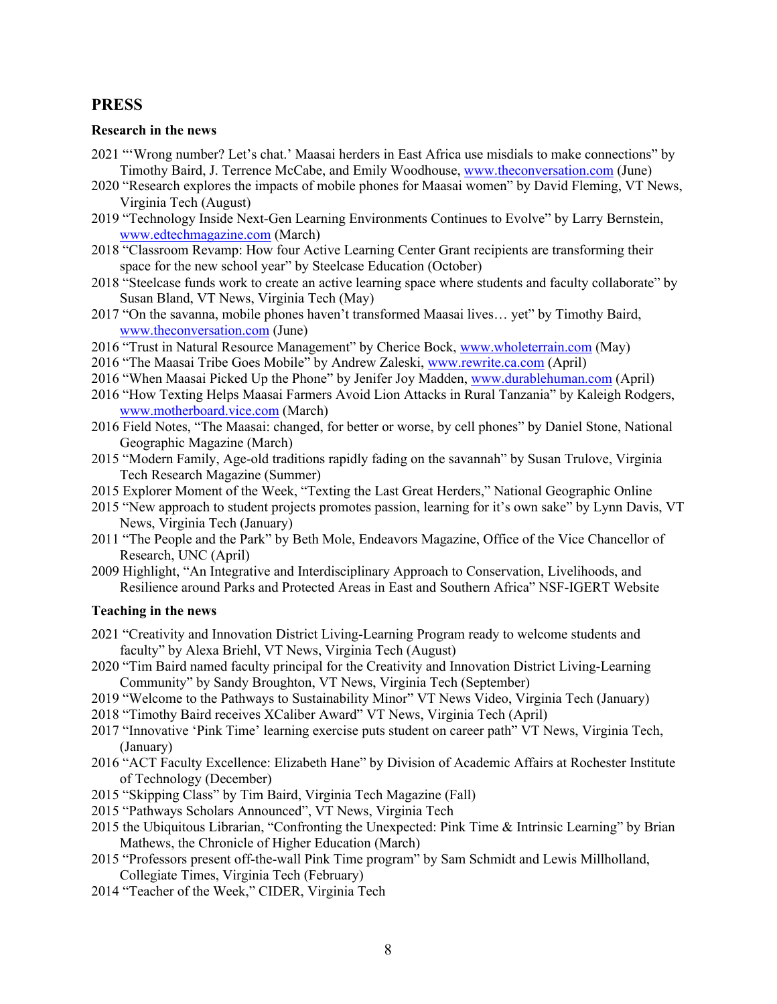# **PRESS**

#### **Research in the news**

- 2021 "'Wrong number? Let's chat.' Maasai herders in East Africa use misdials to make connections" by Timothy Baird, J. Terrence McCabe, and Emily Woodhouse, www.theconversation.com (June)
- 2020 "Research explores the impacts of mobile phones for Maasai women" by David Fleming, VT News, Virginia Tech (August)
- 2019 "Technology Inside Next-Gen Learning Environments Continues to Evolve" by Larry Bernstein, www.edtechmagazine.com (March)
- 2018 "Classroom Revamp: How four Active Learning Center Grant recipients are transforming their space for the new school year" by Steelcase Education (October)
- 2018 "Steelcase funds work to create an active learning space where students and faculty collaborate" by Susan Bland, VT News, Virginia Tech (May)
- 2017 "On the savanna, mobile phones haven't transformed Maasai lives… yet" by Timothy Baird, www.theconversation.com (June)
- 2016 "Trust in Natural Resource Management" by Cherice Bock, www.wholeterrain.com (May)
- 2016 "The Maasai Tribe Goes Mobile" by Andrew Zaleski, www.rewrite.ca.com (April)
- 2016 "When Maasai Picked Up the Phone" by Jenifer Joy Madden, www.durablehuman.com (April)
- 2016 "How Texting Helps Maasai Farmers Avoid Lion Attacks in Rural Tanzania" by Kaleigh Rodgers, www.motherboard.vice.com (March)
- 2016 Field Notes, "The Maasai: changed, for better or worse, by cell phones" by Daniel Stone, National Geographic Magazine (March)
- 2015 "Modern Family, Age-old traditions rapidly fading on the savannah" by Susan Trulove, Virginia Tech Research Magazine (Summer)
- 2015 Explorer Moment of the Week, "Texting the Last Great Herders," National Geographic Online
- 2015 "New approach to student projects promotes passion, learning for it's own sake" by Lynn Davis, VT News, Virginia Tech (January)
- 2011 "The People and the Park" by Beth Mole, Endeavors Magazine, Office of the Vice Chancellor of Research, UNC (April)
- 2009 Highlight, "An Integrative and Interdisciplinary Approach to Conservation, Livelihoods, and Resilience around Parks and Protected Areas in East and Southern Africa" NSF-IGERT Website

#### **Teaching in the news**

- 2021 "Creativity and Innovation District Living-Learning Program ready to welcome students and faculty" by Alexa Briehl, VT News, Virginia Tech (August)
- 2020 "Tim Baird named faculty principal for the Creativity and Innovation District Living-Learning Community" by Sandy Broughton, VT News, Virginia Tech (September)
- 2019 "Welcome to the Pathways to Sustainability Minor" VT News Video, Virginia Tech (January)
- 2018 "Timothy Baird receives XCaliber Award" VT News, Virginia Tech (April)
- 2017 "Innovative 'Pink Time' learning exercise puts student on career path" VT News, Virginia Tech, (January)
- 2016 "ACT Faculty Excellence: Elizabeth Hane" by Division of Academic Affairs at Rochester Institute of Technology (December)
- 2015 "Skipping Class" by Tim Baird, Virginia Tech Magazine (Fall)
- 2015 "Pathways Scholars Announced", VT News, Virginia Tech
- 2015 the Ubiquitous Librarian, "Confronting the Unexpected: Pink Time & Intrinsic Learning" by Brian Mathews, the Chronicle of Higher Education (March)
- 2015 "Professors present off-the-wall Pink Time program" by Sam Schmidt and Lewis Millholland, Collegiate Times, Virginia Tech (February)
- 2014 "Teacher of the Week," CIDER, Virginia Tech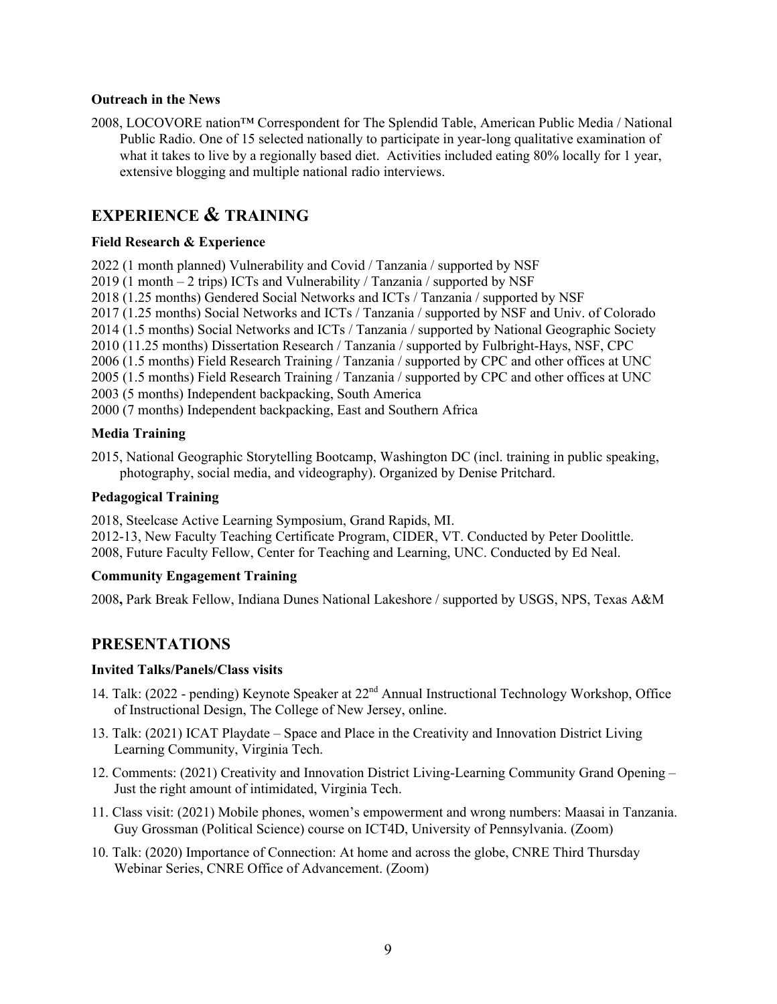#### **Outreach in the News**

2008, LOCOVORE nation™ Correspondent for The Splendid Table, American Public Media / National Public Radio. One of 15 selected nationally to participate in year-long qualitative examination of what it takes to live by a regionally based diet. Activities included eating 80% locally for 1 year, extensive blogging and multiple national radio interviews.

# **EXPERIENCE & TRAINING**

# **Field Research & Experience**

2022 (1 month planned) Vulnerability and Covid / Tanzania / supported by NSF 2019 (1 month – 2 trips) ICTs and Vulnerability / Tanzania / supported by NSF 2018 (1.25 months) Gendered Social Networks and ICTs / Tanzania / supported by NSF 2017 (1.25 months) Social Networks and ICTs / Tanzania / supported by NSF and Univ. of Colorado 2014 (1.5 months) Social Networks and ICTs / Tanzania / supported by National Geographic Society 2010 (11.25 months) Dissertation Research / Tanzania / supported by Fulbright-Hays, NSF, CPC

2006 (1.5 months) Field Research Training / Tanzania / supported by CPC and other offices at UNC

2005 (1.5 months) Field Research Training / Tanzania / supported by CPC and other offices at UNC

2003 (5 months) Independent backpacking, South America

2000 (7 months) Independent backpacking, East and Southern Africa

# **Media Training**

2015, National Geographic Storytelling Bootcamp, Washington DC (incl. training in public speaking, photography, social media, and videography). Organized by Denise Pritchard.

#### **Pedagogical Training**

2018, Steelcase Active Learning Symposium, Grand Rapids, MI. 2012-13, New Faculty Teaching Certificate Program, CIDER, VT. Conducted by Peter Doolittle. 2008, Future Faculty Fellow, Center for Teaching and Learning, UNC. Conducted by Ed Neal.

# **Community Engagement Training**

2008**,** Park Break Fellow, Indiana Dunes National Lakeshore / supported by USGS, NPS, Texas A&M

# **PRESENTATIONS**

# **Invited Talks/Panels/Class visits**

- 14. Talk: (2022 pending) Keynote Speaker at 22nd Annual Instructional Technology Workshop, Office of Instructional Design, The College of New Jersey, online.
- 13. Talk: (2021) ICAT Playdate Space and Place in the Creativity and Innovation District Living Learning Community, Virginia Tech.
- 12. Comments: (2021) Creativity and Innovation District Living-Learning Community Grand Opening Just the right amount of intimidated, Virginia Tech.
- 11. Class visit: (2021) Mobile phones, women's empowerment and wrong numbers: Maasai in Tanzania. Guy Grossman (Political Science) course on ICT4D, University of Pennsylvania. (Zoom)
- 10. Talk: (2020) Importance of Connection: At home and across the globe, CNRE Third Thursday Webinar Series, CNRE Office of Advancement. (Zoom)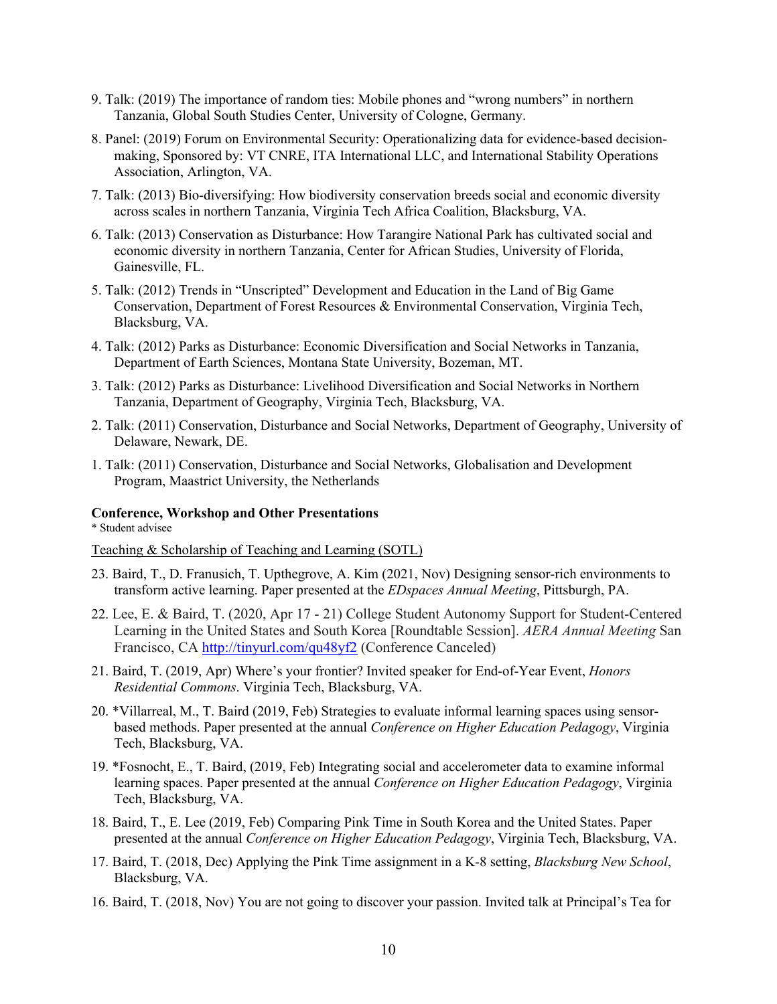- 9. Talk: (2019) The importance of random ties: Mobile phones and "wrong numbers" in northern Tanzania, Global South Studies Center, University of Cologne, Germany.
- 8. Panel: (2019) Forum on Environmental Security: Operationalizing data for evidence-based decisionmaking, Sponsored by: VT CNRE, ITA International LLC, and International Stability Operations Association, Arlington, VA.
- 7. Talk: (2013) Bio-diversifying: How biodiversity conservation breeds social and economic diversity across scales in northern Tanzania, Virginia Tech Africa Coalition, Blacksburg, VA.
- 6. Talk: (2013) Conservation as Disturbance: How Tarangire National Park has cultivated social and economic diversity in northern Tanzania, Center for African Studies, University of Florida, Gainesville, FL.
- 5. Talk: (2012) Trends in "Unscripted" Development and Education in the Land of Big Game Conservation, Department of Forest Resources & Environmental Conservation, Virginia Tech, Blacksburg, VA.
- 4. Talk: (2012) Parks as Disturbance: Economic Diversification and Social Networks in Tanzania, Department of Earth Sciences, Montana State University, Bozeman, MT.
- 3. Talk: (2012) Parks as Disturbance: Livelihood Diversification and Social Networks in Northern Tanzania, Department of Geography, Virginia Tech, Blacksburg, VA.
- 2. Talk: (2011) Conservation, Disturbance and Social Networks, Department of Geography, University of Delaware, Newark, DE.
- 1. Talk: (2011) Conservation, Disturbance and Social Networks, Globalisation and Development Program, Maastrict University, the Netherlands

#### **Conference, Workshop and Other Presentations**

\* Student advisee

#### Teaching & Scholarship of Teaching and Learning (SOTL)

- 23. Baird, T., D. Franusich, T. Upthegrove, A. Kim (2021, Nov) Designing sensor-rich environments to transform active learning. Paper presented at the *EDspaces Annual Meeting*, Pittsburgh, PA.
- 22. Lee, E. & Baird, T. (2020, Apr 17 21) College Student Autonomy Support for Student-Centered Learning in the United States and South Korea [Roundtable Session]. *AERA Annual Meeting* San Francisco, CA http://tinyurl.com/qu48yf2 (Conference Canceled)
- 21. Baird, T. (2019, Apr) Where's your frontier? Invited speaker for End-of-Year Event, *Honors Residential Commons*. Virginia Tech, Blacksburg, VA.
- 20. \*Villarreal, M., T. Baird (2019, Feb) Strategies to evaluate informal learning spaces using sensorbased methods. Paper presented at the annual *Conference on Higher Education Pedagogy*, Virginia Tech, Blacksburg, VA.
- 19. \*Fosnocht, E., T. Baird, (2019, Feb) Integrating social and accelerometer data to examine informal learning spaces. Paper presented at the annual *Conference on Higher Education Pedagogy*, Virginia Tech, Blacksburg, VA.
- 18. Baird, T., E. Lee (2019, Feb) Comparing Pink Time in South Korea and the United States. Paper presented at the annual *Conference on Higher Education Pedagogy*, Virginia Tech, Blacksburg, VA.
- 17. Baird, T. (2018, Dec) Applying the Pink Time assignment in a K-8 setting, *Blacksburg New School*, Blacksburg, VA.
- 16. Baird, T. (2018, Nov) You are not going to discover your passion. Invited talk at Principal's Tea for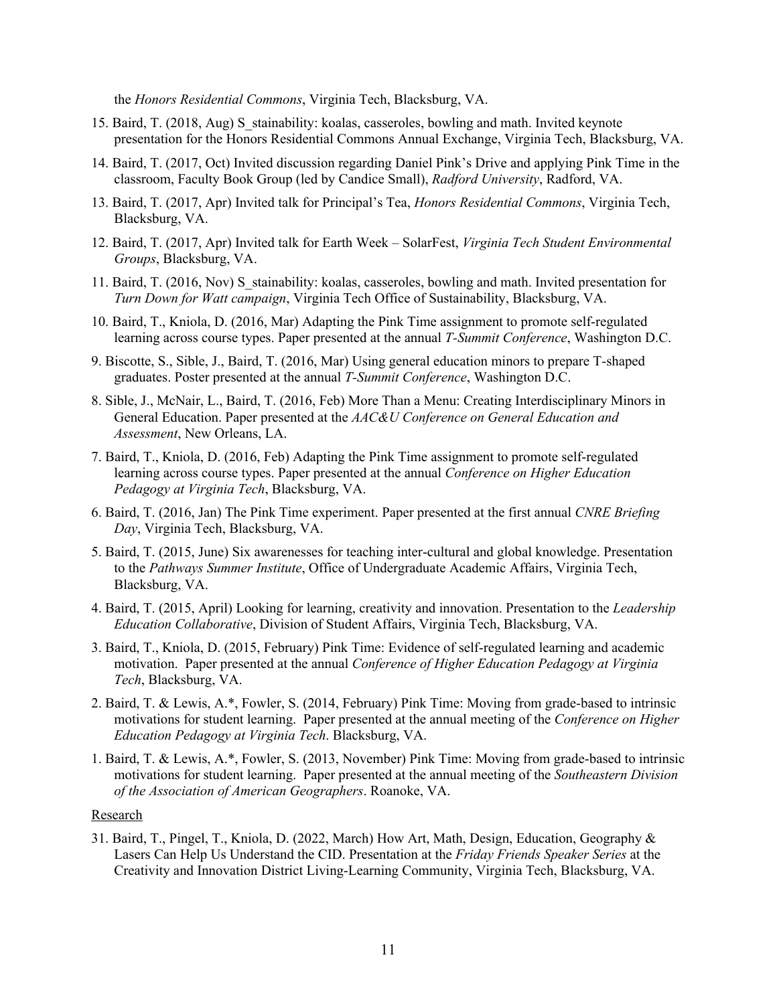the *Honors Residential Commons*, Virginia Tech, Blacksburg, VA.

- 15. Baird, T. (2018, Aug) S\_stainability: koalas, casseroles, bowling and math. Invited keynote presentation for the Honors Residential Commons Annual Exchange, Virginia Tech, Blacksburg, VA.
- 14. Baird, T. (2017, Oct) Invited discussion regarding Daniel Pink's Drive and applying Pink Time in the classroom, Faculty Book Group (led by Candice Small), *Radford University*, Radford, VA.
- 13. Baird, T. (2017, Apr) Invited talk for Principal's Tea, *Honors Residential Commons*, Virginia Tech, Blacksburg, VA.
- 12. Baird, T. (2017, Apr) Invited talk for Earth Week SolarFest, *Virginia Tech Student Environmental Groups*, Blacksburg, VA.
- 11. Baird, T. (2016, Nov) S\_stainability: koalas, casseroles, bowling and math. Invited presentation for *Turn Down for Watt campaign*, Virginia Tech Office of Sustainability, Blacksburg, VA.
- 10. Baird, T., Kniola, D. (2016, Mar) Adapting the Pink Time assignment to promote self-regulated learning across course types. Paper presented at the annual *T-Summit Conference*, Washington D.C.
- 9. Biscotte, S., Sible, J., Baird, T. (2016, Mar) Using general education minors to prepare T-shaped graduates. Poster presented at the annual *T-Summit Conference*, Washington D.C.
- 8. Sible, J., McNair, L., Baird, T. (2016, Feb) More Than a Menu: Creating Interdisciplinary Minors in General Education. Paper presented at the *AAC&U Conference on General Education and Assessment*, New Orleans, LA.
- 7. Baird, T., Kniola, D. (2016, Feb) Adapting the Pink Time assignment to promote self-regulated learning across course types. Paper presented at the annual *Conference on Higher Education Pedagogy at Virginia Tech*, Blacksburg, VA.
- 6. Baird, T. (2016, Jan) The Pink Time experiment. Paper presented at the first annual *CNRE Briefing Day*, Virginia Tech, Blacksburg, VA.
- 5. Baird, T. (2015, June) Six awarenesses for teaching inter-cultural and global knowledge. Presentation to the *Pathways Summer Institute*, Office of Undergraduate Academic Affairs, Virginia Tech, Blacksburg, VA.
- 4. Baird, T. (2015, April) Looking for learning, creativity and innovation. Presentation to the *Leadership Education Collaborative*, Division of Student Affairs, Virginia Tech, Blacksburg, VA.
- 3. Baird, T., Kniola, D. (2015, February) Pink Time: Evidence of self-regulated learning and academic motivation. Paper presented at the annual *Conference of Higher Education Pedagogy at Virginia Tech*, Blacksburg, VA.
- 2. Baird, T. & Lewis, A.\*, Fowler, S. (2014, February) Pink Time: Moving from grade-based to intrinsic motivations for student learning. Paper presented at the annual meeting of the *Conference on Higher Education Pedagogy at Virginia Tech*. Blacksburg, VA.
- 1. Baird, T. & Lewis, A.\*, Fowler, S. (2013, November) Pink Time: Moving from grade-based to intrinsic motivations for student learning. Paper presented at the annual meeting of the *Southeastern Division of the Association of American Geographers*. Roanoke, VA.

#### Research

31. Baird, T., Pingel, T., Kniola, D. (2022, March) How Art, Math, Design, Education, Geography & Lasers Can Help Us Understand the CID. Presentation at the *Friday Friends Speaker Series* at the Creativity and Innovation District Living-Learning Community, Virginia Tech, Blacksburg, VA.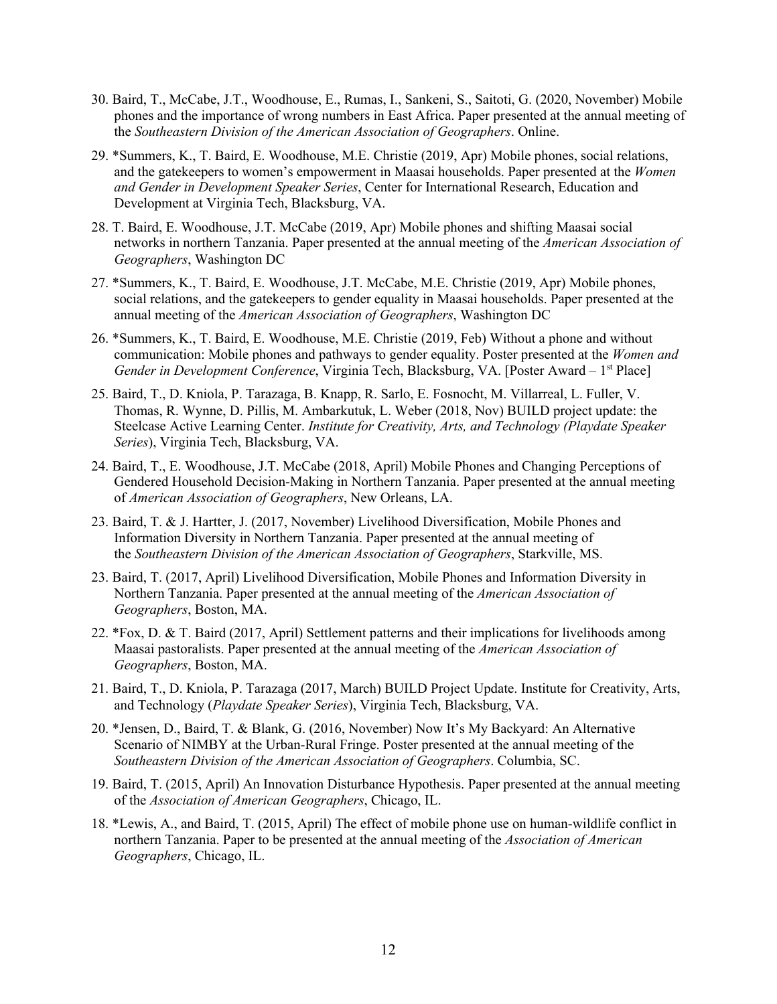- 30. Baird, T., McCabe, J.T., Woodhouse, E., Rumas, I., Sankeni, S., Saitoti, G. (2020, November) Mobile phones and the importance of wrong numbers in East Africa. Paper presented at the annual meeting of the *Southeastern Division of the American Association of Geographers*. Online.
- 29. \*Summers, K., T. Baird, E. Woodhouse, M.E. Christie (2019, Apr) Mobile phones, social relations, and the gatekeepers to women's empowerment in Maasai households. Paper presented at the *Women and Gender in Development Speaker Series*, Center for International Research, Education and Development at Virginia Tech, Blacksburg, VA.
- 28. T. Baird, E. Woodhouse, J.T. McCabe (2019, Apr) Mobile phones and shifting Maasai social networks in northern Tanzania. Paper presented at the annual meeting of the *American Association of Geographers*, Washington DC
- 27. \*Summers, K., T. Baird, E. Woodhouse, J.T. McCabe, M.E. Christie (2019, Apr) Mobile phones, social relations, and the gatekeepers to gender equality in Maasai households. Paper presented at the annual meeting of the *American Association of Geographers*, Washington DC
- 26. \*Summers, K., T. Baird, E. Woodhouse, M.E. Christie (2019, Feb) Without a phone and without communication: Mobile phones and pathways to gender equality. Poster presented at the *Women and Gender in Development Conference*, Virginia Tech, Blacksburg, VA. [Poster Award – 1<sup>st</sup> Place]
- 25. Baird, T., D. Kniola, P. Tarazaga, B. Knapp, R. Sarlo, E. Fosnocht, M. Villarreal, L. Fuller, V. Thomas, R. Wynne, D. Pillis, M. Ambarkutuk, L. Weber (2018, Nov) BUILD project update: the Steelcase Active Learning Center. *Institute for Creativity, Arts, and Technology (Playdate Speaker Series*), Virginia Tech, Blacksburg, VA.
- 24. Baird, T., E. Woodhouse, J.T. McCabe (2018, April) Mobile Phones and Changing Perceptions of Gendered Household Decision-Making in Northern Tanzania. Paper presented at the annual meeting of *American Association of Geographers*, New Orleans, LA.
- 23. Baird, T. & J. Hartter, J. (2017, November) Livelihood Diversification, Mobile Phones and Information Diversity in Northern Tanzania. Paper presented at the annual meeting of the *Southeastern Division of the American Association of Geographers*, Starkville, MS.
- 23. Baird, T. (2017, April) Livelihood Diversification, Mobile Phones and Information Diversity in Northern Tanzania. Paper presented at the annual meeting of the *American Association of Geographers*, Boston, MA.
- 22. \*Fox, D. & T. Baird (2017, April) Settlement patterns and their implications for livelihoods among Maasai pastoralists. Paper presented at the annual meeting of the *American Association of Geographers*, Boston, MA.
- 21. Baird, T., D. Kniola, P. Tarazaga (2017, March) BUILD Project Update. Institute for Creativity, Arts, and Technology (*Playdate Speaker Series*), Virginia Tech, Blacksburg, VA.
- 20. \*Jensen, D., Baird, T. & Blank, G. (2016, November) Now It's My Backyard: An Alternative Scenario of NIMBY at the Urban-Rural Fringe. Poster presented at the annual meeting of the *Southeastern Division of the American Association of Geographers*. Columbia, SC.
- 19. Baird, T. (2015, April) An Innovation Disturbance Hypothesis. Paper presented at the annual meeting of the *Association of American Geographers*, Chicago, IL.
- 18. \*Lewis, A., and Baird, T. (2015, April) The effect of mobile phone use on human-wildlife conflict in northern Tanzania. Paper to be presented at the annual meeting of the *Association of American Geographers*, Chicago, IL.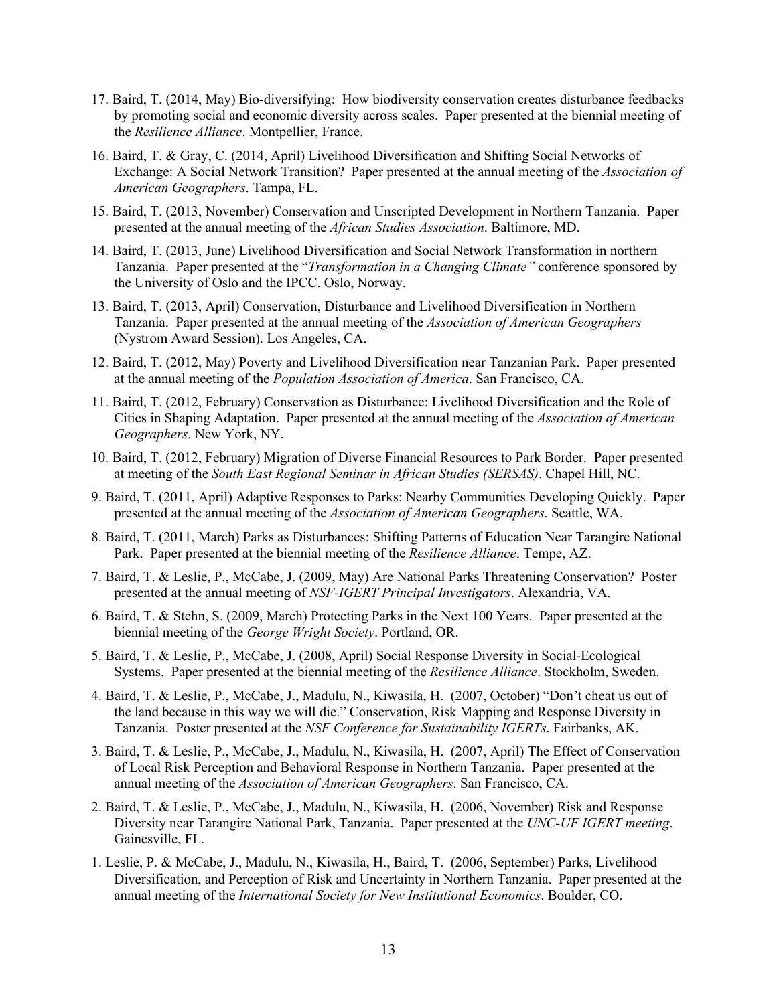- 17. Baird, T. (2014, May) Bio-diversifying: How biodiversity conservation creates disturbance feedbacks by promoting social and economic diversity across scales. Paper presented at the biennial meeting of the *Resilience Alliance*. Montpellier, France.
- 16. Baird, T. & Gray, C. (2014, April) Livelihood Diversification and Shifting Social Networks of Exchange: A Social Network Transition? Paper presented at the annual meeting of the *Association of American Geographers*. Tampa, FL.
- 15. Baird, T. (2013, November) Conservation and Unscripted Development in Northern Tanzania. Paper presented at the annual meeting of the *African Studies Association*. Baltimore, MD.
- 14. Baird, T. (2013, June) Livelihood Diversification and Social Network Transformation in northern Tanzania. Paper presented at the "*Transformation in a Changing Climate"* conference sponsored by the University of Oslo and the IPCC. Oslo, Norway.
- 13. Baird, T. (2013, April) Conservation, Disturbance and Livelihood Diversification in Northern Tanzania. Paper presented at the annual meeting of the *Association of American Geographers*  (Nystrom Award Session). Los Angeles, CA.
- 12. Baird, T. (2012, May) Poverty and Livelihood Diversification near Tanzanian Park. Paper presented at the annual meeting of the *Population Association of America*. San Francisco, CA.
- 11. Baird, T. (2012, February) Conservation as Disturbance: Livelihood Diversification and the Role of Cities in Shaping Adaptation. Paper presented at the annual meeting of the *Association of American Geographers*. New York, NY.
- 10. Baird, T. (2012, February) Migration of Diverse Financial Resources to Park Border. Paper presented at meeting of the *South East Regional Seminar in African Studies (SERSAS)*. Chapel Hill, NC.
- 9. Baird, T. (2011, April) Adaptive Responses to Parks: Nearby Communities Developing Quickly. Paper presented at the annual meeting of the *Association of American Geographers*. Seattle, WA.
- 8. Baird, T. (2011, March) Parks as Disturbances: Shifting Patterns of Education Near Tarangire National Park. Paper presented at the biennial meeting of the *Resilience Alliance*. Tempe, AZ.
- 7. Baird, T. & Leslie, P., McCabe, J. (2009, May) Are National Parks Threatening Conservation? Poster presented at the annual meeting of *NSF-IGERT Principal Investigators*. Alexandria, VA.
- 6. Baird, T. & Stehn, S. (2009, March) Protecting Parks in the Next 100 Years. Paper presented at the biennial meeting of the *George Wright Society*. Portland, OR.
- 5. Baird, T. & Leslie, P., McCabe, J. (2008, April) Social Response Diversity in Social-Ecological Systems. Paper presented at the biennial meeting of the *Resilience Alliance*. Stockholm, Sweden.
- 4. Baird, T. & Leslie, P., McCabe, J., Madulu, N., Kiwasila, H. (2007, October) "Don't cheat us out of the land because in this way we will die." Conservation, Risk Mapping and Response Diversity in Tanzania. Poster presented at the *NSF Conference for Sustainability IGERTs*. Fairbanks, AK.
- 3. Baird, T. & Leslie, P., McCabe, J., Madulu, N., Kiwasila, H. (2007, April) The Effect of Conservation of Local Risk Perception and Behavioral Response in Northern Tanzania. Paper presented at the annual meeting of the *Association of American Geographers*. San Francisco, CA.
- 2. Baird, T. & Leslie, P., McCabe, J., Madulu, N., Kiwasila, H. (2006, November) Risk and Response Diversity near Tarangire National Park, Tanzania. Paper presented at the *UNC-UF IGERT meeting*. Gainesville, FL.
- 1. Leslie, P. & McCabe, J., Madulu, N., Kiwasila, H., Baird, T. (2006, September) Parks, Livelihood Diversification, and Perception of Risk and Uncertainty in Northern Tanzania. Paper presented at the annual meeting of the *International Society for New Institutional Economics*. Boulder, CO.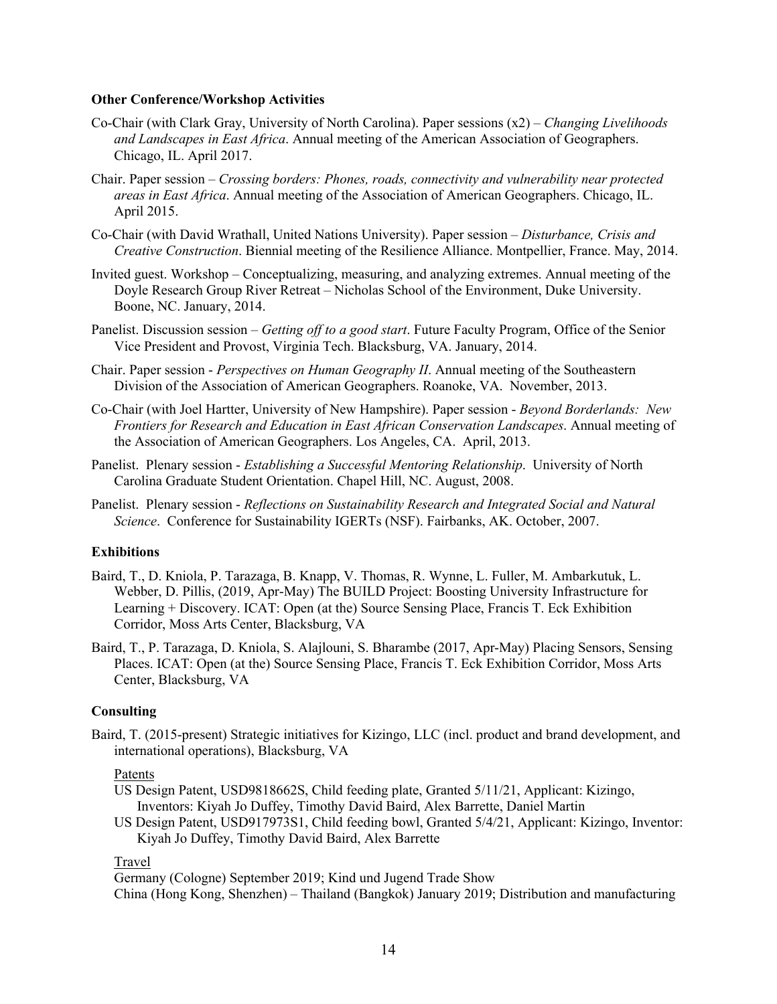#### **Other Conference/Workshop Activities**

- Co-Chair (with Clark Gray, University of North Carolina). Paper sessions (x2) *Changing Livelihoods and Landscapes in East Africa*. Annual meeting of the American Association of Geographers. Chicago, IL. April 2017.
- Chair. Paper session *Crossing borders: Phones, roads, connectivity and vulnerability near protected areas in East Africa*. Annual meeting of the Association of American Geographers. Chicago, IL. April 2015.
- Co-Chair (with David Wrathall, United Nations University). Paper session *Disturbance, Crisis and Creative Construction*. Biennial meeting of the Resilience Alliance. Montpellier, France. May, 2014.
- Invited guest. Workshop Conceptualizing, measuring, and analyzing extremes. Annual meeting of the Doyle Research Group River Retreat – Nicholas School of the Environment, Duke University. Boone, NC. January, 2014.
- Panelist. Discussion session *Getting off to a good start*. Future Faculty Program, Office of the Senior Vice President and Provost, Virginia Tech. Blacksburg, VA. January, 2014.
- Chair. Paper session *Perspectives on Human Geography II*. Annual meeting of the Southeastern Division of the Association of American Geographers. Roanoke, VA. November, 2013.
- Co-Chair (with Joel Hartter, University of New Hampshire). Paper session *Beyond Borderlands: New Frontiers for Research and Education in East African Conservation Landscapes*. Annual meeting of the Association of American Geographers. Los Angeles, CA. April, 2013.
- Panelist. Plenary session *Establishing a Successful Mentoring Relationship*. University of North Carolina Graduate Student Orientation. Chapel Hill, NC. August, 2008.
- Panelist. Plenary session *Reflections on Sustainability Research and Integrated Social and Natural Science*. Conference for Sustainability IGERTs (NSF). Fairbanks, AK. October, 2007.

#### **Exhibitions**

- Baird, T., D. Kniola, P. Tarazaga, B. Knapp, V. Thomas, R. Wynne, L. Fuller, M. Ambarkutuk, L. Webber, D. Pillis, (2019, Apr-May) The BUILD Project: Boosting University Infrastructure for Learning + Discovery. ICAT: Open (at the) Source Sensing Place, Francis T. Eck Exhibition Corridor, Moss Arts Center, Blacksburg, VA
- Baird, T., P. Tarazaga, D. Kniola, S. Alajlouni, S. Bharambe (2017, Apr-May) Placing Sensors, Sensing Places. ICAT: Open (at the) Source Sensing Place, Francis T. Eck Exhibition Corridor, Moss Arts Center, Blacksburg, VA

# **Consulting**

Baird, T. (2015-present) Strategic initiatives for Kizingo, LLC (incl. product and brand development, and international operations), Blacksburg, VA

#### Patents

US Design Patent, USD9818662S, Child feeding plate, Granted 5/11/21, Applicant: Kizingo, Inventors: Kiyah Jo Duffey, Timothy David Baird, Alex Barrette, Daniel Martin

US Design Patent, USD917973S1, Child feeding bowl, Granted 5/4/21, Applicant: Kizingo, Inventor: Kiyah Jo Duffey, Timothy David Baird, Alex Barrette

# Travel

Germany (Cologne) September 2019; Kind und Jugend Trade Show China (Hong Kong, Shenzhen) – Thailand (Bangkok) January 2019; Distribution and manufacturing